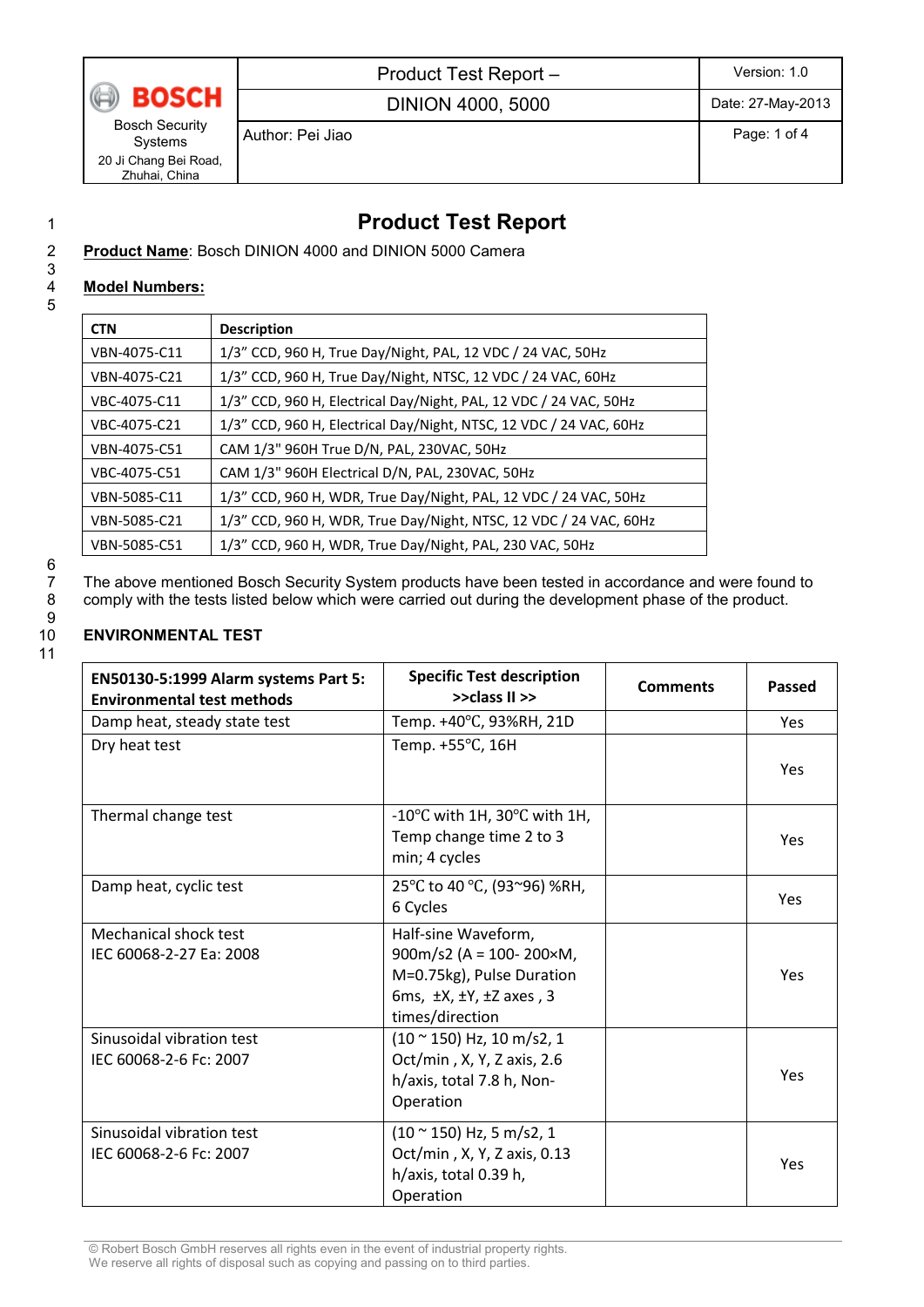

Product Test Report – Version: 1.0

DINION 4000, 5000 Date: 27-May-2013

Bosch Security Systems 20 Ji Chang Bei Road, Zhuhai, China

Author: Pei Jiao Page: 1 of 4

# 1 **Product Test Report**

7 The above mentioned Bosch Security System products have been tested in accordance and were found to comply with the tests listed below which were carried out during the development phase of the product.

### Product Name: Bosch DINION 4000 and DINION 5000 Camera

#### **Model Numbers:**

3 5

| <b>CTN</b>   | <b>Description</b>                                                 |
|--------------|--------------------------------------------------------------------|
| VBN-4075-C11 | 1/3" CCD, 960 H, True Day/Night, PAL, 12 VDC / 24 VAC, 50Hz        |
| VBN-4075-C21 | 1/3" CCD, 960 H, True Day/Night, NTSC, 12 VDC / 24 VAC, 60Hz       |
| VBC-4075-C11 | 1/3" CCD, 960 H, Electrical Day/Night, PAL, 12 VDC / 24 VAC, 50Hz  |
| VBC-4075-C21 | 1/3" CCD, 960 H, Electrical Day/Night, NTSC, 12 VDC / 24 VAC, 60Hz |
| VBN-4075-C51 | CAM 1/3" 960H True D/N, PAL, 230VAC, 50Hz                          |
| VBC-4075-C51 | CAM 1/3" 960H Electrical D/N, PAL, 230VAC, 50Hz                    |
| VBN-5085-C11 | 1/3" CCD, 960 H, WDR, True Day/Night, PAL, 12 VDC / 24 VAC, 50Hz   |
| VBN-5085-C21 | 1/3" CCD, 960 H, WDR, True Day/Night, NTSC, 12 VDC / 24 VAC, 60Hz  |
| VBN-5085-C51 | 1/3" CCD, 960 H, WDR, True Day/Night, PAL, 230 VAC, 50Hz           |

6<br>7<br>8

 $\frac{9}{10}$ 11

### 10 **ENVIRONMENTAL TEST**

| EN50130-5:1999 Alarm systems Part 5:<br><b>Environmental test methods</b> | <b>Specific Test description</b><br>>>class II >>                                                                                                    | <b>Comments</b> | <b>Passed</b> |
|---------------------------------------------------------------------------|------------------------------------------------------------------------------------------------------------------------------------------------------|-----------------|---------------|
| Damp heat, steady state test                                              | Temp. +40°C, 93%RH, 21D                                                                                                                              |                 | <b>Yes</b>    |
| Dry heat test                                                             | Temp. +55°C, 16H                                                                                                                                     |                 | Yes           |
| Thermal change test                                                       | $-10^{\circ}$ C with 1H, 30 $^{\circ}$ C with 1H,<br>Temp change time 2 to 3<br>min; 4 cycles                                                        |                 | Yes           |
| Damp heat, cyclic test                                                    | 25°C to 40 °C, (93~96) %RH,<br>6 Cycles                                                                                                              |                 | Yes           |
| Mechanical shock test<br>IEC 60068-2-27 Ea: 2008                          | Half-sine Waveform,<br>900m/s2 (A = $100 - 200 \times M$ )<br>M=0.75kg), Pulse Duration<br>6ms, $\pm$ X, $\pm$ Y, $\pm$ Z axes, 3<br>times/direction |                 | Yes           |
| Sinusoidal vibration test<br>IEC 60068-2-6 Fc: 2007                       | $(10 \text{ ° } 150)$ Hz, 10 m/s2, 1<br>Oct/min, X, Y, Z axis, 2.6<br>h/axis, total 7.8 h, Non-<br>Operation                                         |                 | Yes           |
| Sinusoidal vibration test<br>IEC 60068-2-6 Fc: 2007                       | $(10 \text{~} 150)$ Hz, 5 m/s2, 1<br>Oct/min, X, Y, Z axis, 0.13<br>h/axis, total 0.39 h,<br>Operation                                               |                 | Yes           |

© Robert Bosch GmbH reserves all rights even in the event of industrial property rights. We reserve all rights of disposal such as copying and passing on to third parties.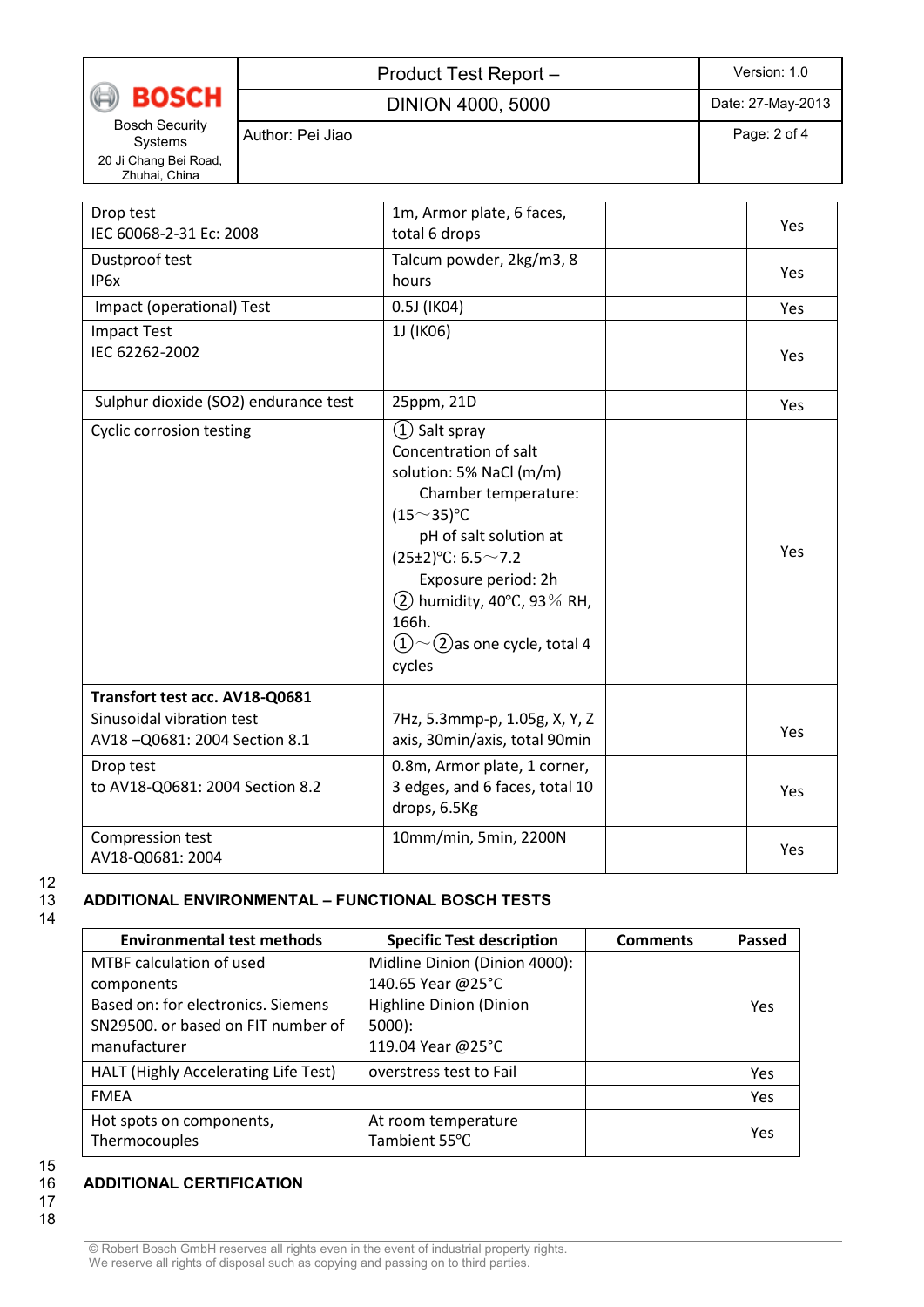|                                                                            | Product Test Report -    |                                                                                                                                                                                                                                                                                              | Version: 1.0      |  |
|----------------------------------------------------------------------------|--------------------------|----------------------------------------------------------------------------------------------------------------------------------------------------------------------------------------------------------------------------------------------------------------------------------------------|-------------------|--|
| <b>BOSCH</b>                                                               | <b>DINION 4000, 5000</b> |                                                                                                                                                                                                                                                                                              | Date: 27-May-2013 |  |
| <b>Bosch Security</b><br>Systems<br>20 Ji Chang Bei Road,<br>Zhuhai, China | Author: Pei Jiao         |                                                                                                                                                                                                                                                                                              | Page: 2 of 4      |  |
| Drop test<br>IEC 60068-2-31 Ec: 2008                                       |                          | 1m, Armor plate, 6 faces,<br>total 6 drops                                                                                                                                                                                                                                                   | Yes               |  |
| Dustproof test<br>IP6x                                                     |                          | Talcum powder, 2kg/m3, 8<br>hours                                                                                                                                                                                                                                                            | Yes               |  |
| Impact (operational) Test                                                  |                          | 0.5J (IK04)                                                                                                                                                                                                                                                                                  | Yes               |  |
| <b>Impact Test</b><br>IEC 62262-2002                                       |                          | 1J (IK06)                                                                                                                                                                                                                                                                                    | Yes               |  |
| Sulphur dioxide (SO2) endurance test                                       |                          | 25ppm, 21D                                                                                                                                                                                                                                                                                   | Yes               |  |
| <b>Cyclic corrosion testing</b>                                            |                          | $(1)$ Salt spray<br>Concentration of salt<br>solution: 5% NaCl (m/m)<br>Chamber temperature:<br>$(15^{\sim}35)^{\circ}C$<br>pH of salt solution at<br>$(25±2)$ °C: 6.5 ~ 7.2<br>Exposure period: 2h<br>$(2)$ humidity, 40°C, 93% RH,<br>166h.<br>$(1)$ ~ (2) as one cycle, total 4<br>cycles | Yes               |  |
| Transfort test acc. AV18-Q0681                                             |                          |                                                                                                                                                                                                                                                                                              |                   |  |
| Sinusoidal vibration test<br>AV18-Q0681: 2004 Section 8.1                  |                          | 7Hz, 5.3mmp-p, 1.05g, X, Y, Z<br>axis, 30min/axis, total 90min                                                                                                                                                                                                                               | Yes               |  |
| Drop test<br>to AV18-Q0681: 2004 Section 8.2                               |                          | 0.8m, Armor plate, 1 corner,<br>3 edges, and 6 faces, total 10<br>drops, 6.5Kg                                                                                                                                                                                                               | Yes               |  |
| Compression test                                                           |                          | 10mm/min, 5min, 2200N                                                                                                                                                                                                                                                                        |                   |  |

# $12$ <br> $13$ 14

#### 13 **ADDITIONAL ENVIRONMENTAL – FUNCTIONAL BOSCH TESTS**

| <b>Environmental test methods</b>         | <b>Specific Test description</b>     | <b>Comments</b> | Passed |
|-------------------------------------------|--------------------------------------|-----------------|--------|
| MTBF calculation of used                  | Midline Dinion (Dinion 4000):        |                 |        |
| components                                | 140.65 Year @25°C                    |                 |        |
| Based on: for electronics. Siemens        | <b>Highline Dinion (Dinion</b>       |                 | Yes    |
| SN29500, or based on FIT number of        | $5000$ :                             |                 |        |
| manufacturer                              | 119.04 Year @25°C                    |                 |        |
| HALT (Highly Accelerating Life Test)      | overstress test to Fail              |                 | Yes    |
| <b>FMFA</b>                               |                                      |                 | Yes    |
| Hot spots on components,<br>Thermocouples | At room temperature<br>Tambient 55°C |                 | Yes    |

Yes

15

## 16 **ADDITIONAL CERTIFICATION**

AV18-Q0681: 2004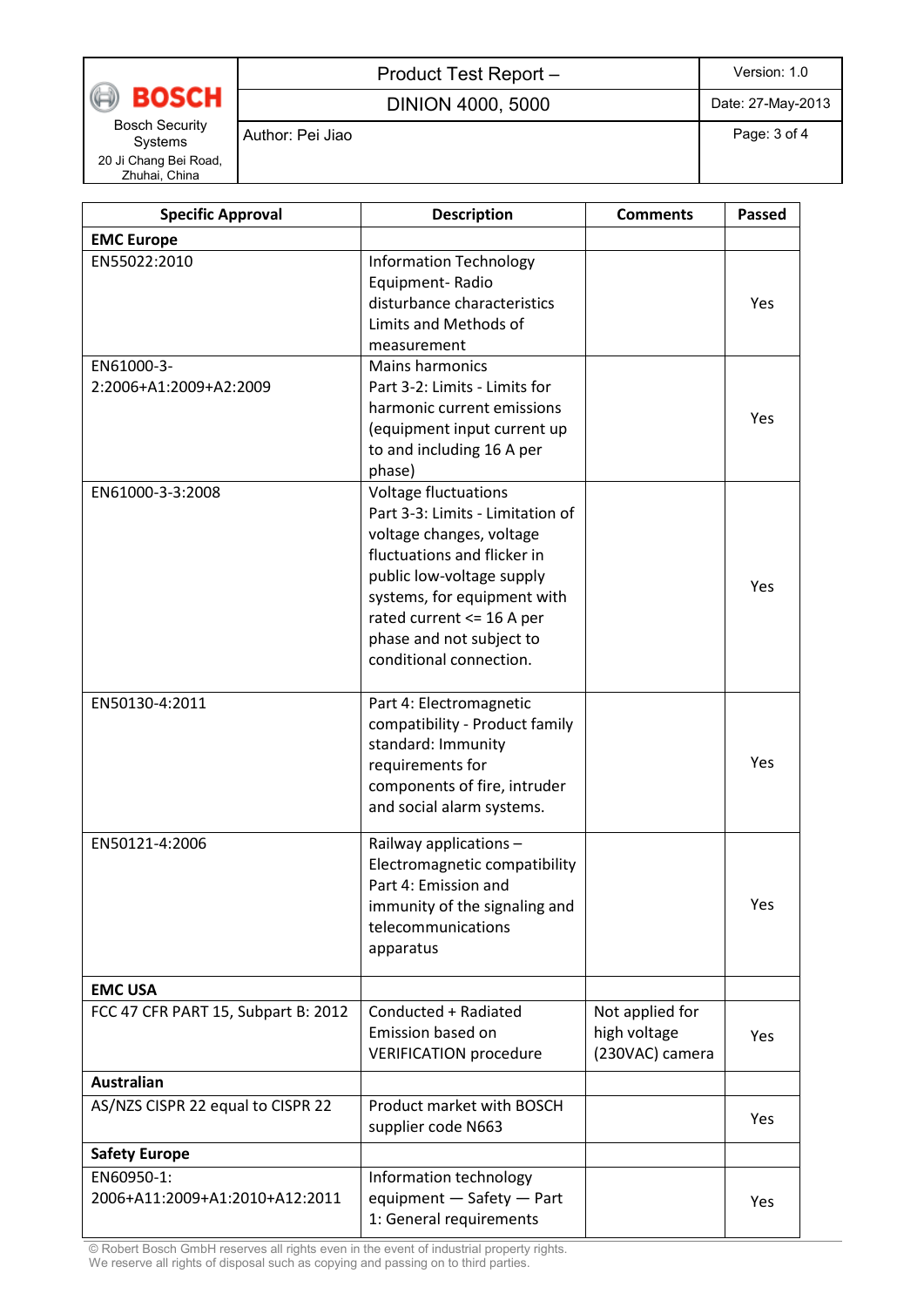**BOSCH** 

### Product Test Report – Version: 1.0

DINION 4000, 5000 Date: 27-May-2013

Bosch Security Systems 20 Ji Chang Bei Road, Zhuhai, China

Author: Pei Jiao **Page: 3 of 4** Page: 3 of 4

| <b>Specific Approval</b>                     | <b>Description</b>                                                                                                                                                                                                                                                         | <b>Comments</b>                                    | <b>Passed</b> |
|----------------------------------------------|----------------------------------------------------------------------------------------------------------------------------------------------------------------------------------------------------------------------------------------------------------------------------|----------------------------------------------------|---------------|
| <b>EMC Europe</b>                            |                                                                                                                                                                                                                                                                            |                                                    |               |
| EN55022:2010                                 | <b>Information Technology</b><br>Equipment-Radio<br>disturbance characteristics<br>Limits and Methods of<br>measurement                                                                                                                                                    |                                                    | Yes           |
| EN61000-3-<br>2:2006+A1:2009+A2:2009         | <b>Mains harmonics</b><br>Part 3-2: Limits - Limits for<br>harmonic current emissions<br>(equipment input current up<br>to and including 16 A per<br>phase)                                                                                                                |                                                    | Yes           |
| EN61000-3-3:2008                             | <b>Voltage fluctuations</b><br>Part 3-3: Limits - Limitation of<br>voltage changes, voltage<br>fluctuations and flicker in<br>public low-voltage supply<br>systems, for equipment with<br>rated current <= 16 A per<br>phase and not subject to<br>conditional connection. |                                                    | Yes           |
| EN50130-4:2011                               | Part 4: Electromagnetic<br>compatibility - Product family<br>standard: Immunity<br>requirements for<br>components of fire, intruder<br>and social alarm systems.                                                                                                           |                                                    | Yes           |
| EN50121-4:2006                               | Railway applications -<br>Electromagnetic compatibility<br>Part 4: Emission and<br>immunity of the signaling and<br>telecommunications<br>apparatus                                                                                                                        |                                                    | Yes           |
| <b>EMC USA</b>                               |                                                                                                                                                                                                                                                                            |                                                    |               |
| FCC 47 CFR PART 15, Subpart B: 2012          | Conducted + Radiated<br>Emission based on<br><b>VERIFICATION procedure</b>                                                                                                                                                                                                 | Not applied for<br>high voltage<br>(230VAC) camera | Yes           |
| <b>Australian</b>                            |                                                                                                                                                                                                                                                                            |                                                    |               |
| AS/NZS CISPR 22 equal to CISPR 22            | Product market with BOSCH<br>supplier code N663                                                                                                                                                                                                                            |                                                    | Yes           |
| <b>Safety Europe</b>                         |                                                                                                                                                                                                                                                                            |                                                    |               |
| EN60950-1:<br>2006+A11:2009+A1:2010+A12:2011 | Information technology<br>equipment - Safety - Part<br>1: General requirements                                                                                                                                                                                             |                                                    | Yes           |

© Robert Bosch GmbH reserves all rights even in the event of industrial property rights. We reserve all rights of disposal such as copying and passing on to third parties.